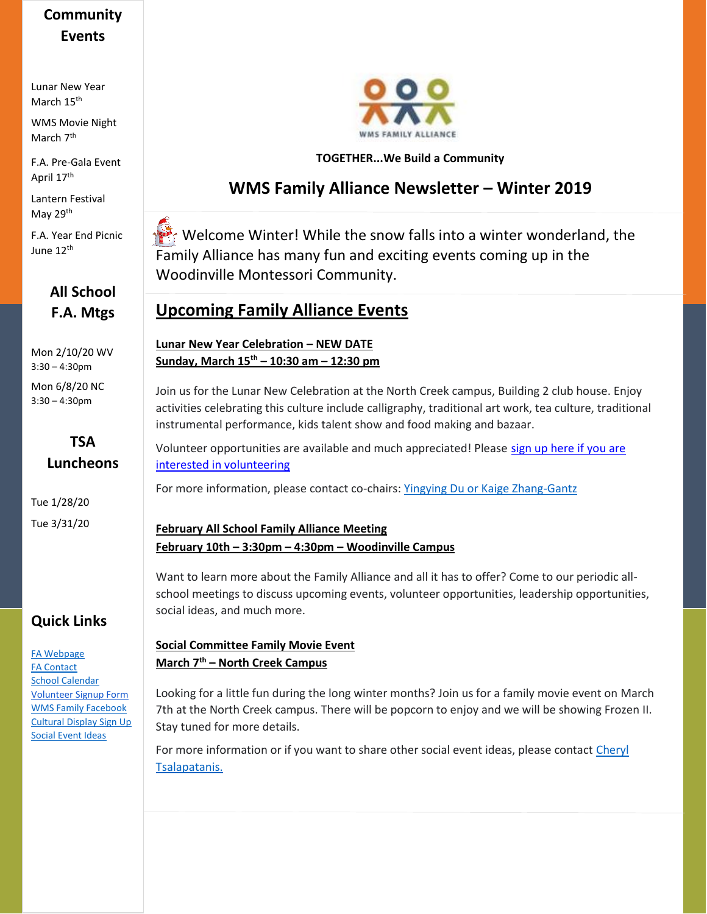# **Community Events**

Lunar New Year March 15<sup>th</sup>

WMS Movie Night March 7<sup>th</sup>

F.A. Pre-Gala Event April 17<sup>th</sup>

Lantern Festival May 29<sup>th</sup>

F.A. Year End Picnic June 12th

## **All School F.A. Mtgs**

Mon 2/10/20 WV 3:30 – 4:30pm

Mon 6/8/20 NC 3:30 – 4:30pm

### **TSA Luncheons**

Tue 1/28/20 Tue 3/31/20

## **Quick Links**

[FA Webpage](https://www.woodinvillemontessori.org/wms-families/fa-committees/) [FA Contact](mailto:fa@woodinvillemontessori.org?subject=FAC%20Contact) [School Calendar](https://www.woodinvillemontessori.org/calendar/) [Volunteer Signup Form](https://forms.gle/FaUat2abBxh9difw7) [WMS Family Facebook](https://www.facebook.com/groups/130215807626550/) [Cultural Display Sign Up](https://www.signupgenius.com/go/4090545aca72daaff2-wmscultural) [Social Event Ideas](mailto:fa@woodinvillemontessori.org;%20cheryltsalapatanis@yahoo.com?subject=Social%20Ideas)



#### **TOGETHER...We Build a Community**

## **WMS Family Alliance Newsletter – Winter 2019**

Welcome Winter! While the snow falls into a winter wonderland, the Family Alliance has many fun and exciting events coming up in the Woodinville Montessori Community.

## **Upcoming Family Alliance Events**

**Lunar New Year Celebration – NEW DATE Sunday, March 15th – 10:30 am – 12:30 pm**

Join us for the Lunar New Celebration at the North Creek campus, Building 2 club house. Enjoy activities celebrating this culture include calligraphy, traditional art work, tea culture, traditional instrumental performance, kids talent show and food making and bazaar.

Volunteer opportunities are available and much appreciated! Please sign up here if you are [interested in volunteering](http://clickthrough.mysecurelinks.net/wf/click?upn=61Px4T1d3wXWL6uqCZBuXjuIbtI0My4-2FAffs5wahsyaRzw0HvoD-2FX8Hc8syuWtZFGbmBKVRMiTUND2P-2FF7nVEw-3D-3D_LodvkxbCWGhx04010xC-2Bw0gvcg62Lj3dnTHgquPCg9yGK8VsA3sf8fPJimtXEhCvAW3pLjNmfppZ9YDoLv5Tu4WWWKnY0h79oi26hBTrbNPewZFcNP7RY4-2B7z8wy7GXKX4VJgoLVGPVlS5RrsCbvcW9T90PhbT49-2FcgS4s1a9Ap8LvasdalBL7G3mvYvSZ0I0Y-2BEf-2FPRyfn-2FyyrZ7NySmRQ2Yw7z3wJdv8mvYfEI-2B7XKoDR-2FHdB7jO7WVCWQGOqXwjvnJBlG-2BvG-2B4LxfW967ARXo01LjDsYDdTuk1FStZFEifXOfghIhsL8qqNe44gES1IQnfVAYoKZOwPbvT035cDmLvLZdn3ibfNryeBi-2Fn7Nzk0NPHlKQAf3WsKkDbYWGrVNTNaggPMQj4TSO2p9I35fOyML-2BhexDsodAjf3Sns0-3D)

For more information, please contact co-chairs: [Yingying Du or Kaige Zhang-Gantz](mailto:fa@woodinvillemontessori.org?subject=2020%20Lunar%20Festival)

#### **February All School Family Alliance Meeting February 10th – 3:30pm – 4:30pm – Woodinville Campus**

Want to learn more about the Family Alliance and all it has to offer? Come to our periodic allschool meetings to discuss upcoming events, volunteer opportunities, leadership opportunities, social ideas, and much more.

#### **Social Committee Family Movie Event March 7th – North Creek Campus**

Looking for a little fun during the long winter months? Join us for a family movie event on March 7th at the North Creek campus. There will be popcorn to enjoy and we will be showing Frozen II. Stay tuned for more details.

For more information or if you want to share other social event ideas, please contact [Cheryl](mailto:fa@woodinvillemontessori.org;cheryltsalapatanis@yahoo.com?subject=FAC%20Contact)  [Tsalapatanis.](mailto:fa@woodinvillemontessori.org;cheryltsalapatanis@yahoo.com?subject=FAC%20Contact)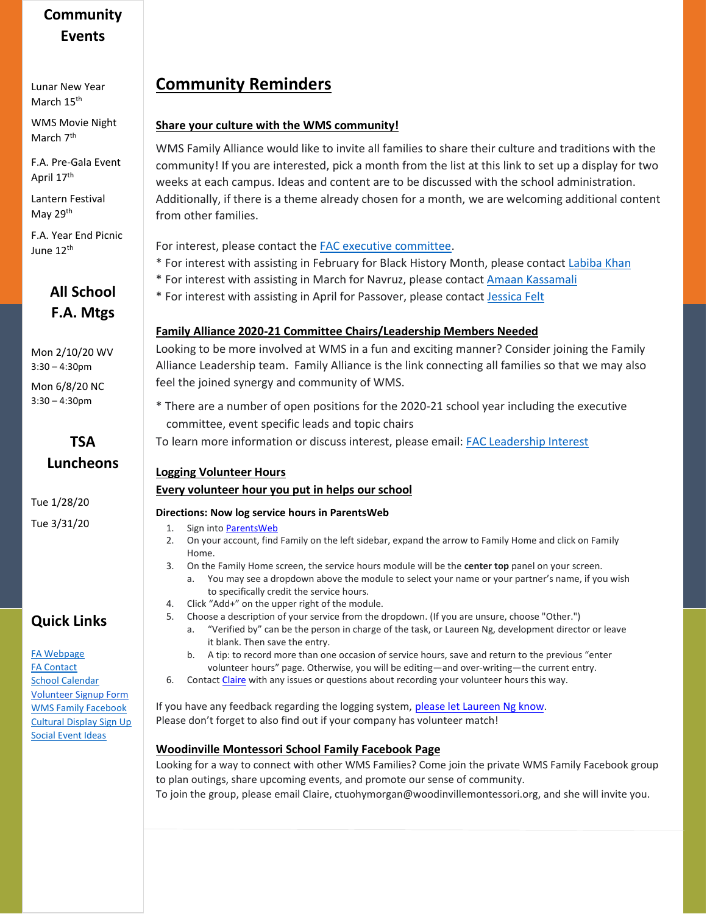## **Community Events**

Lunar New Year March 15<sup>th</sup>

WMS Movie Night March 7<sup>th</sup>

F.A. Pre-Gala Event April 17<sup>th</sup>

Lantern Festival May 29th

F.A. Year End Picnic June 12th

# **All School F.A. Mtgs**

Mon 2/10/20 WV 3:30 – 4:30pm

Mon 6/8/20 NC 3:30 – 4:30pm

### **TSA Luncheons**

Tue 1/28/20 Tue 3/31/20

## **Quick Links**

[FA Webpage](https://www.woodinvillemontessori.org/wms-families/fa-committees/) [FA Contact](mailto:fa@woodinvillemontessori.org?subject=FAC%20Contact) [School Calendar](https://www.woodinvillemontessori.org/calendar/) [Volunteer Signup Form](https://forms.gle/FaUat2abBxh9difw7) [WMS Family Facebook](https://www.facebook.com/groups/130215807626550/) [Cultural Display Sign Up](https://www.signupgenius.com/go/4090545aca72daaff2-wmscultural) [Social Event Ideas](mailto:fa@woodinvillemontessori.org;%20cheryltsalapatanis@yahoo.com?subject=Social%20Ideas)

# **Community Reminders**

#### **Share your culture with the WMS community!**

WMS Family Alliance would like to invite all families to share their culture and traditions with the community! If you are interested, [pick a month from the list at this link](http://clickthrough.mysecurelinks.net/wf/click?upn=61Px4T1d3wXWL6uqCZBuXjuIbtI0My4-2FAffs5wahsyZHungnQYR4nCyDc2-2FlI-2FlxUM6G8WrzEcwhU6GHBl520RympefOFNA5n9s5rpczZAk-3D_LodvkxbCWGhx04010xC-2Bw0gvcg62Lj3dnTHgquPCg9zTVMyFLTbmWuEZOQEb1Fn59JeBUq837l6OMZ9IutCDcEMVpSUdmw-2FNUTTRHGmsLslfluZYorRi6u9PVUa6xn9wXYxDrov2NkBRmsJC4dHoTWfa8Djdo5i-2FiTi2Q-2BYfEWrKgTcp1O0hQA7DFacj3SCzevz6Wk8PUy-2B9brcl7mO7ZexLjyTZnsHLewilIjf8z-2B9zqe0WTLGFXz4AYV4FfByM70HvyYopFTW4iIuO793ANWoPf4tMiFdNOrVBrwFInDRCGLRL1vcCVnVgrPFbgUuwWi12uNezO5p79PgVcgsC3CYeyPuN7ylqaI33oTsDI3GPEh0wOzyQWtsgxFtHOB-2Bbdr3A64-2BQIjm9r5XTu1e11GsLWcT1FDg-2BoQHq-2FH70DFk-3D) to set up a display for two weeks at each campus. Ideas and content are to be discussed with the school administration. Additionally, if there is a theme already chosen for a month, we are welcoming additional content from other families.

For interest, please contact the [FAC executive committee.](mailto:fa@woodinvillemontessori.org?subject=Cultural%20Display)

- \* For interest with assisting in February for Black History Month, please contact [Labiba Khan](mailto:lkhan@woodinvillemontessori.org;fa@woodinvillemontessori.org?subject=Cultural%20Display)
- \* For interest with assisting in March for Navruz, please contac[t Amaan](mailto:jessicafelt@icloud.com;%20fa@woodinvilemontessori.org) Kassamali
- \* For interest with assisting in April for Passover, please contact [Jessica Felt](mailto:jessicafelt@icloud.com;%20fa@woodinvilemontessori.org)

#### **Family Alliance 2020-21 Committee Chairs/Leadership Members Needed**

Looking to be more involved at WMS in a fun and exciting manner? Consider joining the Family Alliance Leadership team. Family Alliance is the link connecting all families so that we may also feel the joined synergy and community of WMS.

- \* There are a number of open positions for the 2020-21 school year including the executive committee, event specific leads and topic chairs
- To learn more information or discuss interest, please email[: FAC Leadership Interest](mailto:FAC%20executive%20committee?subject=2020-2021%20FAC%20Leadership%20Info)

#### **Logging Volunteer Hours**

#### **Every volunteer hour you put in helps our school**

#### **Directions: Now log service hours in ParentsWeb**

- 1. Sign into [ParentsWeb](https://nam05.safelinks.protection.outlook.com/?url=https%3A%2F%2Fwms-wa.client.renweb.com%2Fpwr%2F&data=02%7C01%7C%7C6384971794c044f5d8ba08d6eb879a55%7C84df9e7fe9f640afb435aaaaaaaaaaaa%7C1%7C0%7C636955364971516333&sdata=eqZJQlF7WCLzVf%2BbceIDW%2Fax0aiJceZBiKJ7oweQa3U%3D&reserved=0)
- 2. On your account, find Family on the left sidebar, expand the arrow to Family Home and click on Family Home.
- 3. On the Family Home screen, the service hours module will be the **center top** panel on your screen.
	- a. You may see a dropdown above the module to select your name or your partner's name, if you wish to specifically credit the service hours.
- 4. Click "Add+" on the upper right of the module.
- 5. Choose a description of your service from the dropdown. (If you are unsure, choose "Other.")
	- a. "Verified by" can be the person in charge of the task, or Laureen Ng, development director or leave it blank. Then save the entry.
	- b. A tip: to record more than one occasion of service hours, save and return to the previous "enter volunteer hours" page. Otherwise, you will be editing—and over-writing—the current entry.
- 6. Contact [Claire](mailto:ctuohymorgan@woodinvillemontessori.org) with any issues or questions about recording your volunteer hours this way.

If you have any feedback regarding the logging system, [please let Laureen Ng know.](mailto:%20lng@woodinvillemontessori.org?subject=Request%20for%20Volunteer%20Training) Please don't forget to also find out if your company has volunteer match!

#### **Woodinville Montessori School Family Facebook Page**

Looking for a way to connect with other WMS Families? Come join the private WMS Family Facebook group to plan outings, share upcoming events, and promote our sense of community. To join the group, pl[ease email Claire, ctuohymorgan@woodinvillemontess](https://www.facebook.com/groups/130215807626550/)[ori.org, and](mailto:ctuohymorgan@woodinvillemontessori.org) she will invite you.